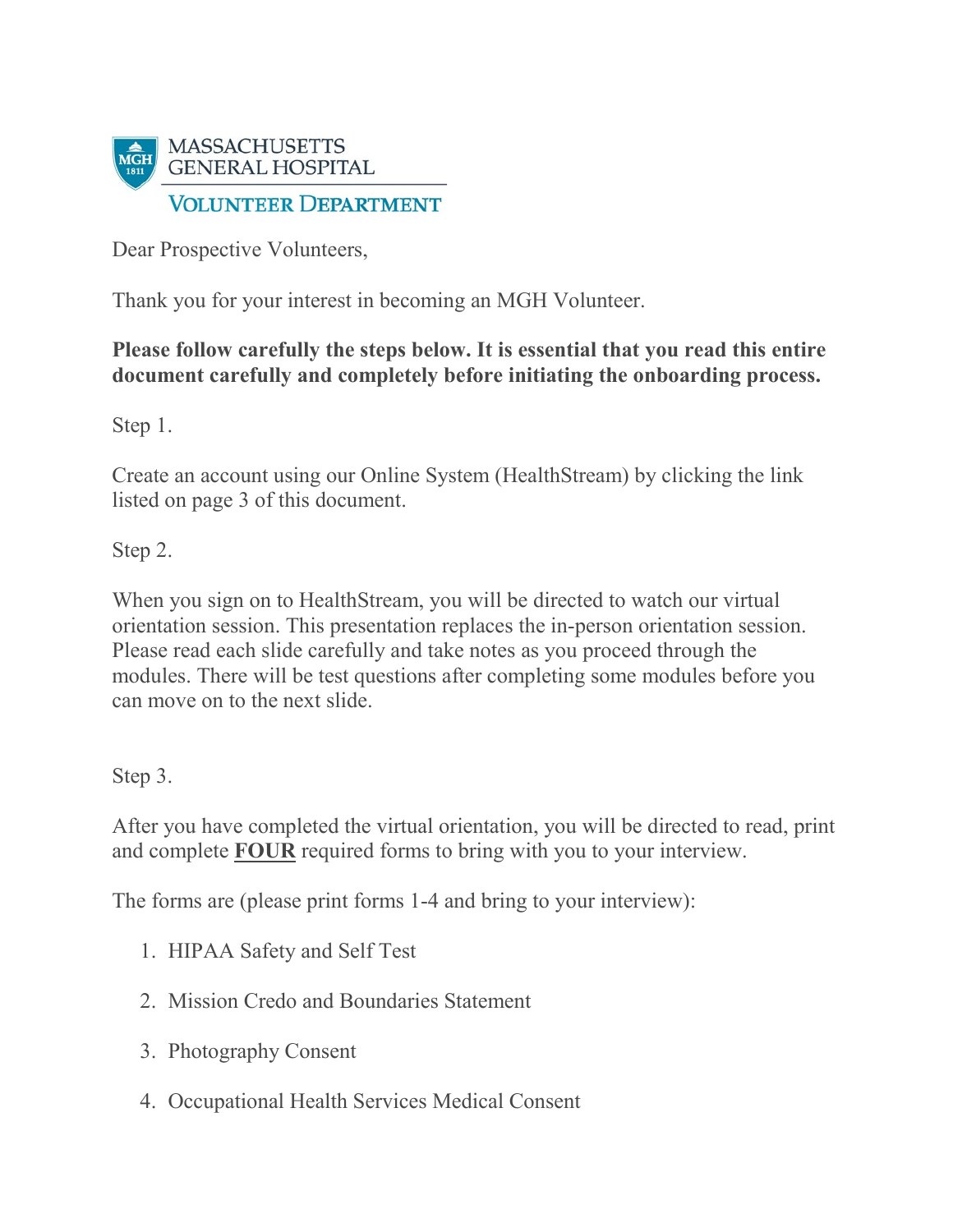

Dear Prospective Volunteers,

Thank you for your interest in becoming an MGH Volunteer.

## **Please follow carefully the steps below. It is essential that you read this entire document carefully and completely before initiating the onboarding process.**

Step 1.

Create an account using our Online System (HealthStream) by clicking the link listed on page 3 of this document.

Step 2.

When you sign on to HealthStream, you will be directed to watch our virtual orientation session. This presentation replaces the in-person orientation session. Please read each slide carefully and take notes as you proceed through the modules. There will be test questions after completing some modules before you can move on to the next slide.

Step 3.

After you have completed the virtual orientation, you will be directed to read, print and complete **FOUR** required forms to bring with you to your interview.

The forms are (please print forms 1-4 and bring to your interview):

- 1. HIPAA Safety and Self Test
- 2. Mission Credo and Boundaries Statement
- 3. Photography Consent
- 4. Occupational Health Services Medical Consent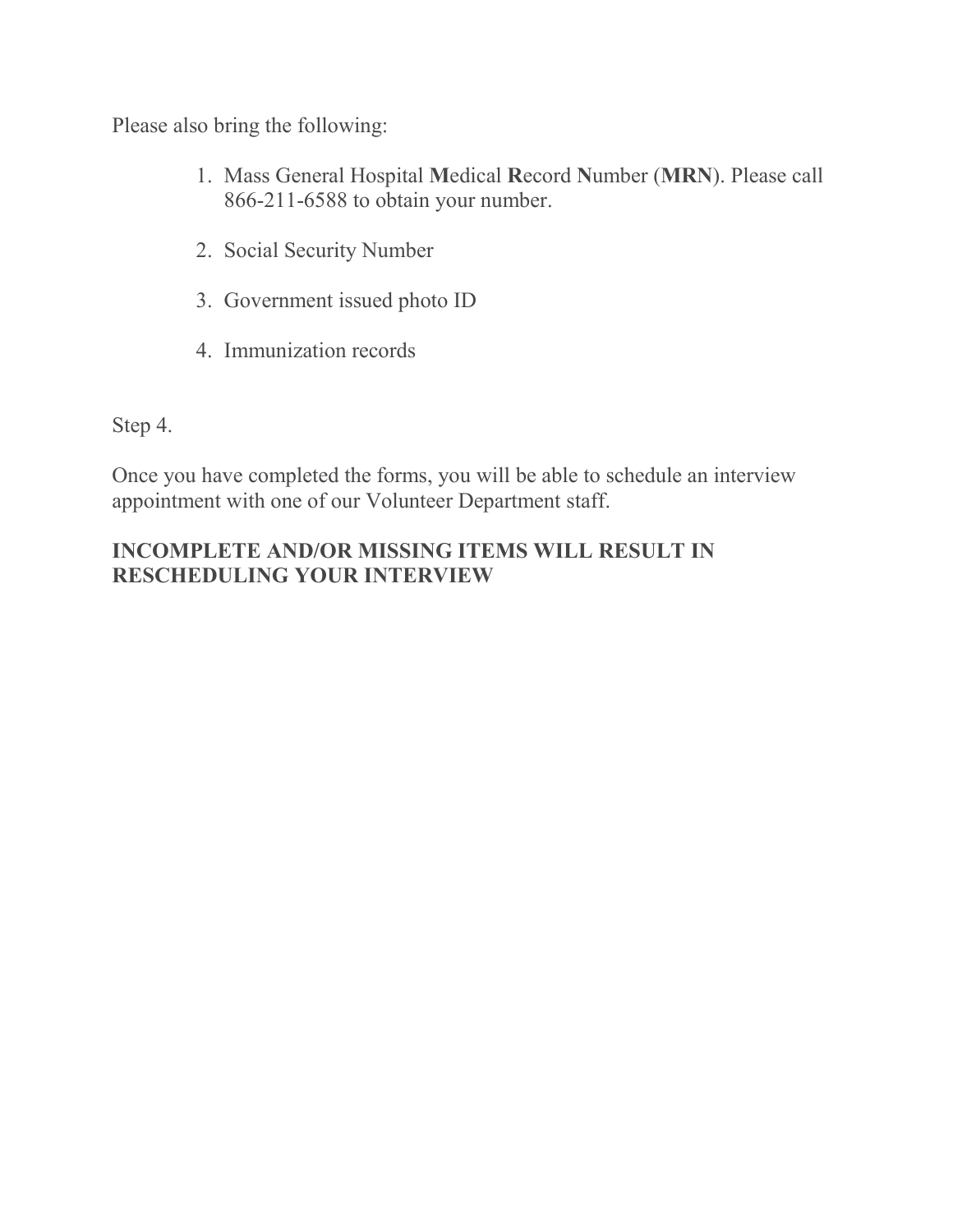Please also bring the following:

- 1. Mass General Hospital **M**edical **R**ecord **N**umber (**MRN**). Please call 866-211-6588 to obtain your number.
- 2. Social Security Number
- 3. Government issued photo ID
- 4. Immunization records

Step 4.

Once you have completed the forms, you will be able to schedule an interview appointment with one of our Volunteer Department staff.

## **INCOMPLETE AND/OR MISSING ITEMS WILL RESULT IN RESCHEDULING YOUR INTERVIEW**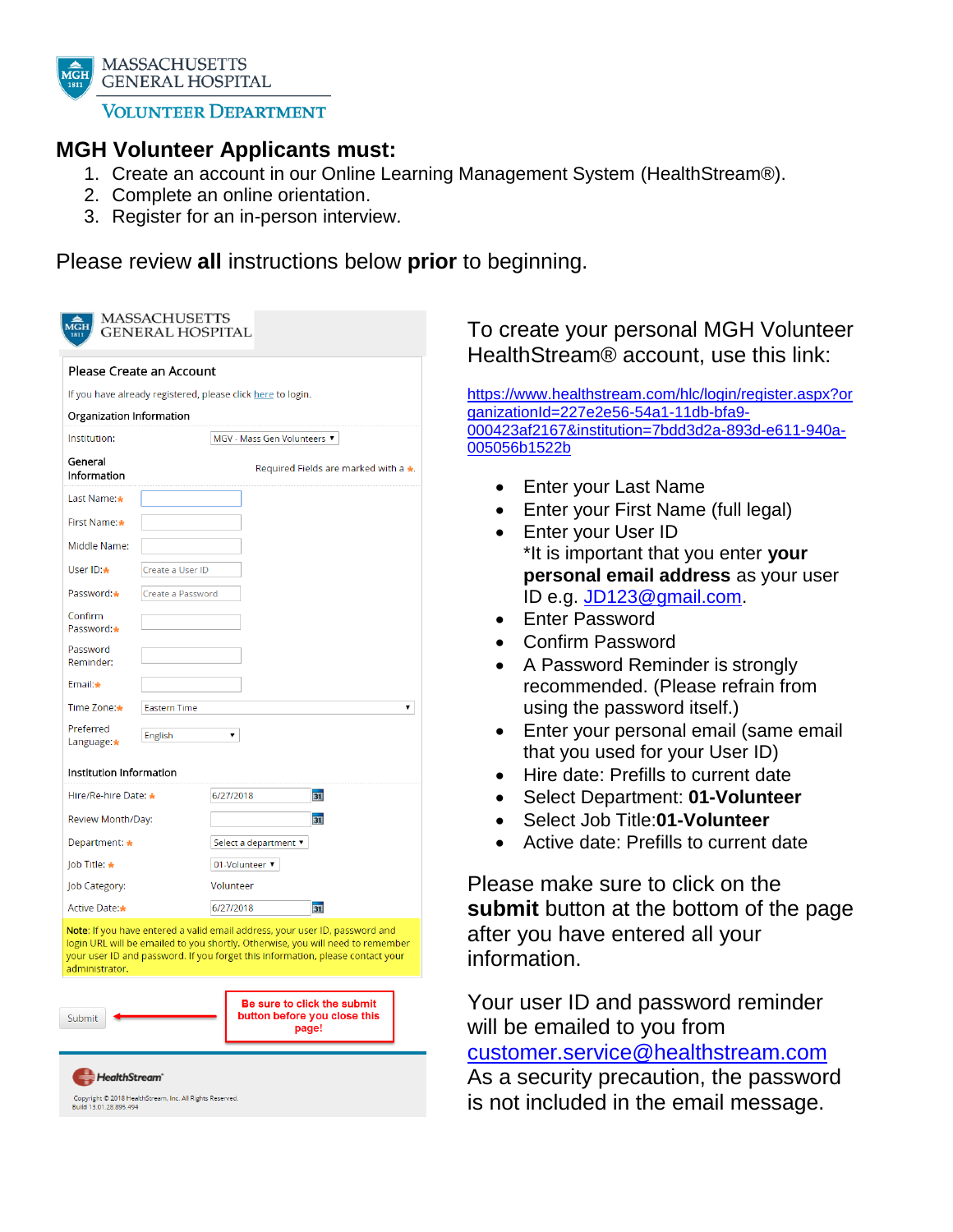

**MASSACHUSETTS GENERAL HOSPITAL** 

**VOLUNTEER DEPARTMENT** 

## **MGH Volunteer Applicants must:**

- 1. Create an account in our Online Learning Management System (HealthStream®).
- 2. Complete an online orientation.
- 3. Register for an in-person interview.

Please review **all** instructions below **prior** to beginning.

| <b>MASSACHUSETTS</b><br>$\overline{\text{MGH}}$<br>GENERAL HOSPITAL                                                                                                                                                                                               |                     |                       |                                                                      |  |
|-------------------------------------------------------------------------------------------------------------------------------------------------------------------------------------------------------------------------------------------------------------------|---------------------|-----------------------|----------------------------------------------------------------------|--|
| Please Create an Account                                                                                                                                                                                                                                          |                     |                       |                                                                      |  |
| If you have already registered, please click here to login.                                                                                                                                                                                                       |                     |                       |                                                                      |  |
| Organization Information                                                                                                                                                                                                                                          |                     |                       |                                                                      |  |
| Institution:                                                                                                                                                                                                                                                      |                     |                       | MGV - Mass Gen Volunteers ▼                                          |  |
| General<br>Information                                                                                                                                                                                                                                            |                     |                       | Required Fields are marked with a *.                                 |  |
| Last Name:                                                                                                                                                                                                                                                        |                     |                       |                                                                      |  |
| First Name:                                                                                                                                                                                                                                                       |                     |                       |                                                                      |  |
| Middle Name:                                                                                                                                                                                                                                                      |                     |                       |                                                                      |  |
| User ID:*                                                                                                                                                                                                                                                         | Create a User ID    |                       |                                                                      |  |
| Password:*                                                                                                                                                                                                                                                        | Create a Password   |                       |                                                                      |  |
| Confirm<br>Password:*                                                                                                                                                                                                                                             |                     |                       |                                                                      |  |
| Password<br>Reminder:                                                                                                                                                                                                                                             |                     |                       |                                                                      |  |
| Email:*                                                                                                                                                                                                                                                           |                     |                       |                                                                      |  |
| Time Zone:*                                                                                                                                                                                                                                                       | <b>Eastern Time</b> |                       |                                                                      |  |
| Preferred<br>Language:*                                                                                                                                                                                                                                           | English             | ▼.                    |                                                                      |  |
| Institution Information                                                                                                                                                                                                                                           |                     |                       |                                                                      |  |
| Hire/Re-hire Date: *                                                                                                                                                                                                                                              |                     | 6/27/2018             | $\overline{31}$                                                      |  |
| Review Month/Day:                                                                                                                                                                                                                                                 |                     |                       | 51                                                                   |  |
| Department: *                                                                                                                                                                                                                                                     |                     | Select a department ▼ |                                                                      |  |
| Job Title: *                                                                                                                                                                                                                                                      |                     | 01-Volunteer ▼        |                                                                      |  |
| Job Category:                                                                                                                                                                                                                                                     |                     | Volunteer             |                                                                      |  |
| Active Date:*                                                                                                                                                                                                                                                     |                     | 6/27/2018             | 即                                                                    |  |
| Note: If you have entered a valid email address, your user ID, password and<br>login URL will be emailed to you shortly. Otherwise, you will need to remember<br>your user ID and password. If you forget this information, please contact your<br>administrator. |                     |                       |                                                                      |  |
| Submit                                                                                                                                                                                                                                                            |                     |                       | Be sure to click the submit<br>button before you close this<br>page! |  |
| <b>HealthStream</b><br>Copyright @ 2018 HealthStream, Inc. All Rights Reserved.<br>Build 13.01.28.895.494                                                                                                                                                         |                     |                       |                                                                      |  |

## To create your personal MGH Volunteer HealthStream® account, use this link:

[https://www.healthstream.com/hlc/login/register.aspx?or](https://www.healthstream.com/hlc/login/register.aspx?organizationId=227e2e56-54a1-11db-bfa9-000423af2167&institution=7bdd3d2a-893d-e611-940a-005056b1522b) [ganizationId=227e2e56-54a1-11db-bfa9-](https://www.healthstream.com/hlc/login/register.aspx?organizationId=227e2e56-54a1-11db-bfa9-000423af2167&institution=7bdd3d2a-893d-e611-940a-005056b1522b) [000423af2167&institution=7bdd3d2a-893d-e611-940a-](https://www.healthstream.com/hlc/login/register.aspx?organizationId=227e2e56-54a1-11db-bfa9-000423af2167&institution=7bdd3d2a-893d-e611-940a-005056b1522b)[005056b1522b](https://www.healthstream.com/hlc/login/register.aspx?organizationId=227e2e56-54a1-11db-bfa9-000423af2167&institution=7bdd3d2a-893d-e611-940a-005056b1522b)

- Enter your Last Name
- Enter your First Name (full legal)
- Enter your User ID \*It is important that you enter **your personal email address** as your user ID e.g. [JD123@gmail.com.](mailto:JD123@gmail.com)
- Enter Password
- Confirm Password
- A Password Reminder is strongly recommended. (Please refrain from using the password itself.)
- Enter your personal email (same email that you used for your User ID)
- Hire date: Prefills to current date
- Select Department: **01-Volunteer**
- Select Job Title:**01-Volunteer**
- Active date: Prefills to current date

Please make sure to click on the **submit** button at the bottom of the page after you have entered all your information.

Your user ID and password reminder will be emailed to you from [customer.service@healthstream.com](mailto:customer.service@healthstream.com) As a security precaution, the password is not included in the email message.